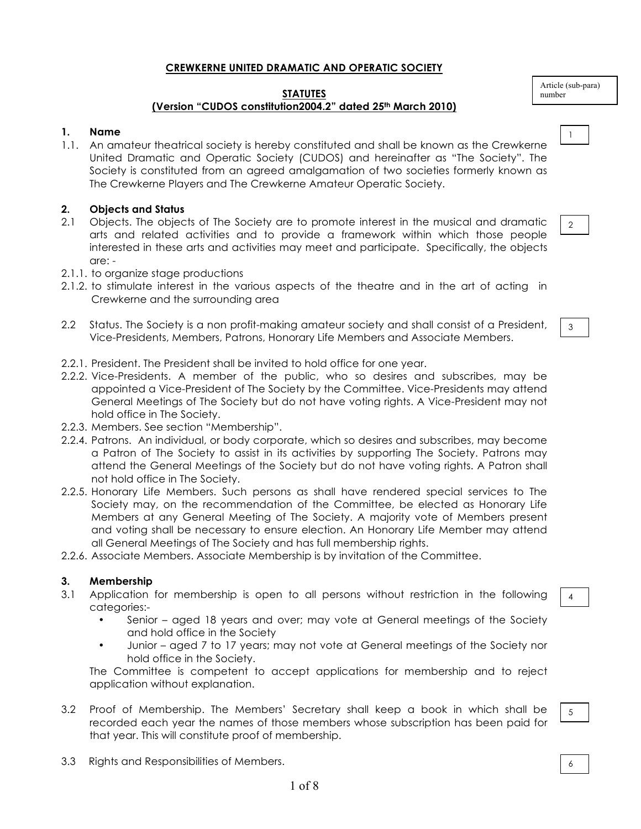# **CREWKERNE UNITED DRAMATIC AND OPERATIC SOCIETY**

#### **STATUTES (Version "CUDOS constitution2004.2" dated 25th March 2010)**

# **1. Name**

1.1. An amateur theatrical society is hereby constituted and shall be known as the Crewkerne United Dramatic and Operatic Society (CUDOS) and hereinafter as "The Society". The Society is constituted from an agreed amalgamation of two societies formerly known as The Crewkerne Players and The Crewkerne Amateur Operatic Society.

# **2. Objects and Status**

- 2.1 Objects. The objects of The Society are to promote interest in the musical and dramatic arts and related activities and to provide a framework within which those people interested in these arts and activities may meet and participate. Specifically, the objects are: -
- 2.1.1. to organize stage productions
- 2.1.2. to stimulate interest in the various aspects of the theatre and in the art of acting in Crewkerne and the surrounding area
- 2.2 Status. The Society is a non profit-making amateur society and shall consist of a President, Vice-Presidents, Members, Patrons, Honorary Life Members and Associate Members.
- 2.2.1. President. The President shall be invited to hold office for one year.
- 2.2.2. Vice-Presidents. A member of the public, who so desires and subscribes, may be appointed a Vice-President of The Society by the Committee. Vice-Presidents may attend General Meetings of The Society but do not have voting rights. A Vice-President may not hold office in The Society.
- 2.2.3. Members. See section "Membership".
- 2.2.4. Patrons. An individual, or body corporate, which so desires and subscribes, may become a Patron of The Society to assist in its activities by supporting The Society. Patrons may attend the General Meetings of the Society but do not have voting rights. A Patron shall not hold office in The Society.
- 2.2.5. Honorary Life Members. Such persons as shall have rendered special services to The Society may, on the recommendation of the Committee, be elected as Honorary Life Members at any General Meeting of The Society. A majority vote of Members present and voting shall be necessary to ensure election. An Honorary Life Member may attend all General Meetings of The Society and has full membership rights.
- 2.2.6. Associate Members. Associate Membership is by invitation of the Committee.

## **3. Membership**

- 3.1 Application for membership is open to all persons without restriction in the following categories:-
	- Senior aged 18 years and over; may vote at General meetings of the Society and hold office in the Society
	- Junior aged 7 to 17 years; may not vote at General meetings of the Society nor hold office in the Society.

The Committee is competent to accept applications for membership and to reject application without explanation.

- 3.2 Proof of Membership. The Members' Secretary shall keep a book in which shall be recorded each year the names of those members whose subscription has been paid for that year. This will constitute proof of membership.
- 3.3 Rights and Responsibilities of Members.

Article (sub-para) number



2

3

| ×<br>۰<br>$\sim$ | I |  |
|------------------|---|--|
|                  |   |  |

4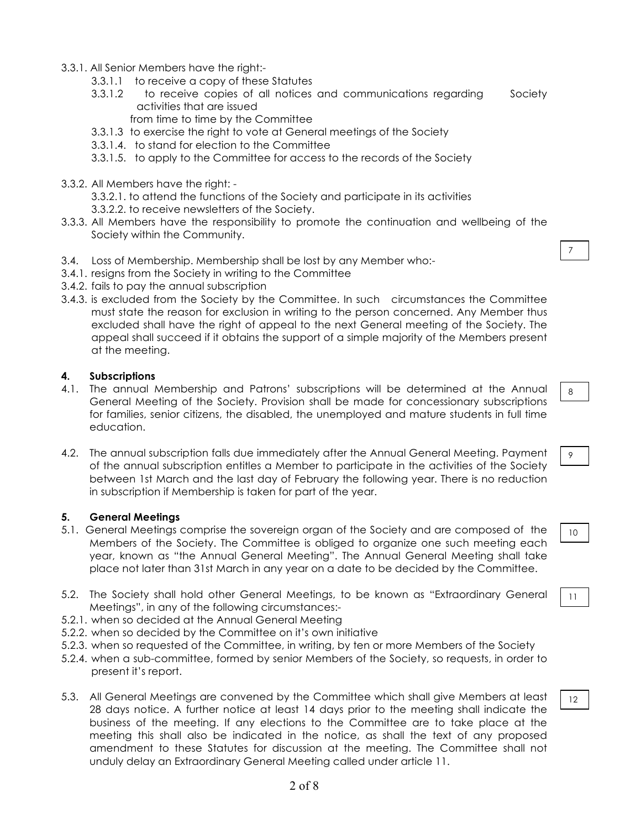- 3.3.1. All Senior Members have the right:-
	- 3.3.1.1 to receive a copy of these Statutes
	- 3.3.1.2 to receive copies of all notices and communications regarding Society activities that are issued
		- from time to time by the Committee
	- 3.3.1.3 to exercise the right to vote at General meetings of the Society
	- 3.3.1.4. to stand for election to the Committee
	- 3.3.1.5. to apply to the Committee for access to the records of the Society
- 3.3.2. All Members have the right:
	- 3.3.2.1. to attend the functions of the Society and participate in its activities
	- 3.3.2.2. to receive newsletters of the Society.
- 3.3.3. All Members have the responsibility to promote the continuation and wellbeing of the Society within the Community.
- 3.4. Loss of Membership. Membership shall be lost by any Member who:-
- 3.4.1. resigns from the Society in writing to the Committee
- 3.4.2. fails to pay the annual subscription
- 3.4.3. is excluded from the Society by the Committee. In such circumstances the Committee must state the reason for exclusion in writing to the person concerned. Any Member thus excluded shall have the right of appeal to the next General meeting of the Society. The appeal shall succeed if it obtains the support of a simple majority of the Members present at the meeting.

### **4. Subscriptions**

- 4.1. The annual Membership and Patrons' subscriptions will be determined at the Annual General Meeting of the Society. Provision shall be made for concessionary subscriptions for families, senior citizens, the disabled, the unemployed and mature students in full time education.
- 4.2. The annual subscription falls due immediately after the Annual General Meeting. Payment of the annual subscription entitles a Member to participate in the activities of the Society between 1st March and the last day of February the following year. There is no reduction in subscription if Membership is taken for part of the year.

#### **5. General Meetings**

- 5.1. General Meetings comprise the sovereign organ of the Society and are composed of the Members of the Society. The Committee is obliged to organize one such meeting each year, known as "the Annual General Meeting". The Annual General Meeting shall take place not later than 31st March in any year on a date to be decided by the Committee.
- 5.2. The Society shall hold other General Meetings, to be known as "Extraordinary General Meetings", in any of the following circumstances:-
- 5.2.1. when so decided at the Annual General Meeting
- 5.2.2. when so decided by the Committee on it's own initiative
- 5.2.3. when so requested of the Committee, in writing, by ten or more Members of the Society
- 5.2.4. when a sub-committee, formed by senior Members of the Society, so requests, in order to present it's report.
- 5.3. All General Meetings are convened by the Committee which shall give Members at least 28 days notice. A further notice at least 14 days prior to the meeting shall indicate the business of the meeting. If any elections to the Committee are to take place at the meeting this shall also be indicated in the notice, as shall the text of any proposed amendment to these Statutes for discussion at the meeting. The Committee shall not unduly delay an Extraordinary General Meeting called under article 11.

7

8

9

10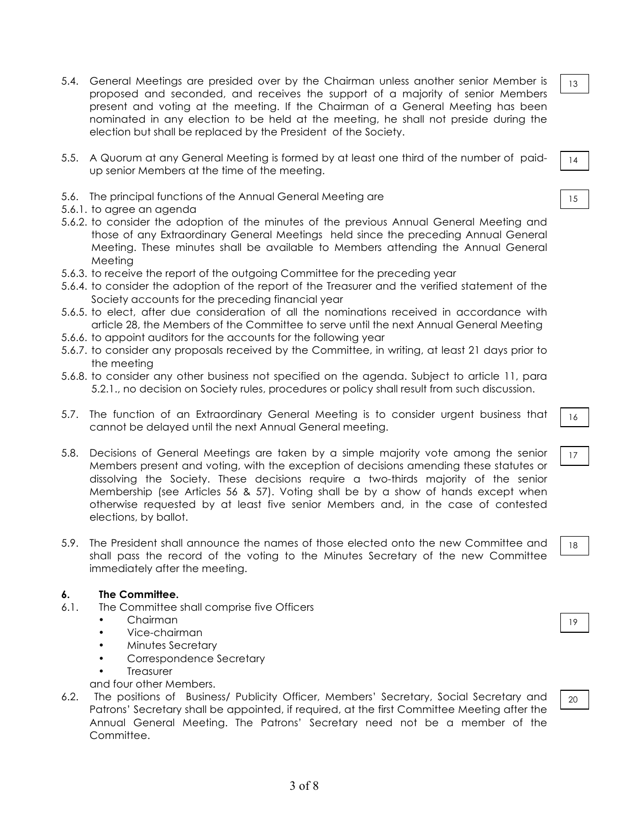- 5.4. General Meetings are presided over by the Chairman unless another senior Member is proposed and seconded, and receives the support of a majority of senior Members present and voting at the meeting. If the Chairman of a General Meeting has been nominated in any election to be held at the meeting, he shall not preside during the election but shall be replaced by the President of the Society.
- 5.5. A Quorum at any General Meeting is formed by at least one third of the number of paidup senior Members at the time of the meeting.
- 5.6. The principal functions of the Annual General Meeting are
- 5.6.1. to agree an agenda
- 5.6.2. to consider the adoption of the minutes of the previous Annual General Meeting and those of any Extraordinary General Meetings held since the preceding Annual General Meeting. These minutes shall be available to Members attending the Annual General Meeting
- 5.6.3. to receive the report of the outgoing Committee for the preceding year
- 5.6.4. to consider the adoption of the report of the Treasurer and the verified statement of the Society accounts for the preceding financial year
- 5.6.5. to elect, after due consideration of all the nominations received in accordance with article 28, the Members of the Committee to serve until the next Annual General Meeting
- 5.6.6. to appoint auditors for the accounts for the following year
- 5.6.7. to consider any proposals received by the Committee, in writing, at least 21 days prior to the meeting
- 5.6.8. to consider any other business not specified on the agenda. Subject to article 11, para 5.2.1., no decision on Society rules, procedures or policy shall result from such discussion.
- 5.7. The function of an Extraordinary General Meeting is to consider urgent business that cannot be delayed until the next Annual General meeting.
- 5.8. Decisions of General Meetings are taken by a simple majority vote among the senior Members present and voting, with the exception of decisions amending these statutes or dissolving the Society. These decisions require a two-thirds majority of the senior Membership (see Articles 56 & 57). Voting shall be by a show of hands except when otherwise requested by at least five senior Members and, in the case of contested elections, by ballot.
- 5.9. The President shall announce the names of those elected onto the new Committee and shall pass the record of the voting to the Minutes Secretary of the new Committee immediately after the meeting.

#### **6. The Committee.**

- 6.1. The Committee shall comprise five Officers
	- Chairman
	- Vice-chairman
	- Minutes Secretary
	- Correspondence Secretary
	- **Treasurer**

and four other Members.

6.2. The positions of Business/ Publicity Officer, Members' Secretary, Social Secretary and Patrons' Secretary shall be appointed, if required, at the first Committee Meeting after the Annual General Meeting. The Patrons' Secretary need not be a member of the Committee.

14

15

13

16

17

18

19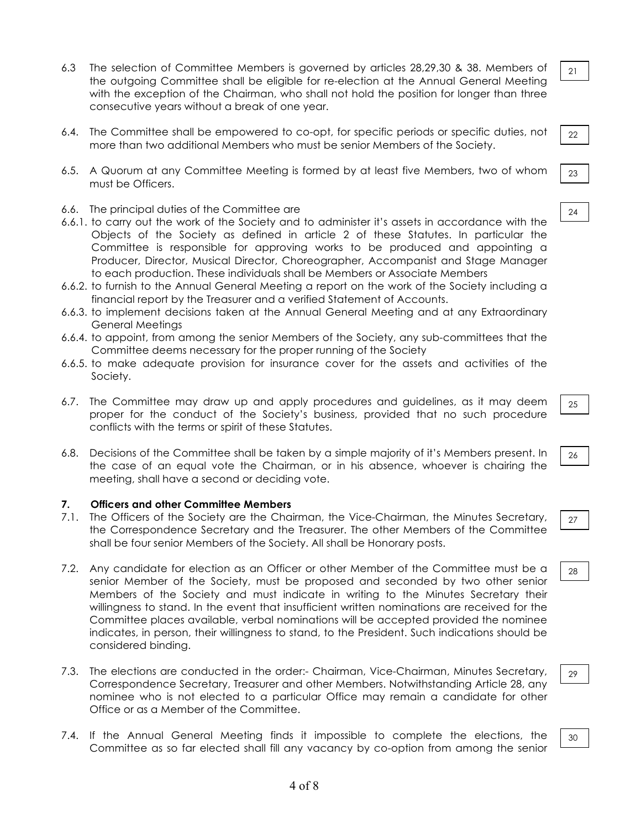- 6.3 The selection of Committee Members is governed by articles 28,29,30 & 38. Members of the outgoing Committee shall be eligible for re-election at the Annual General Meeting with the exception of the Chairman, who shall not hold the position for longer than three consecutive years without a break of one year.
- 6.4. The Committee shall be empowered to co-opt, for specific periods or specific duties, not more than two additional Members who must be senior Members of the Society.
- 6.5. A Quorum at any Committee Meeting is formed by at least five Members, two of whom must be Officers.
- 6.6. The principal duties of the Committee are
- 6.6.1. to carry out the work of the Society and to administer it's assets in accordance with the Objects of the Society as defined in article 2 of these Statutes. In particular the Committee is responsible for approving works to be produced and appointing a Producer, Director, Musical Director, Choreographer, Accompanist and Stage Manager to each production. These individuals shall be Members or Associate Members
- 6.6.2. to furnish to the Annual General Meeting a report on the work of the Society including a financial report by the Treasurer and a verified Statement of Accounts.
- 6.6.3. to implement decisions taken at the Annual General Meeting and at any Extraordinary General Meetings
- 6.6.4. to appoint, from among the senior Members of the Society, any sub-committees that the Committee deems necessary for the proper running of the Society
- 6.6.5. to make adequate provision for insurance cover for the assets and activities of the Society.
- 6.7. The Committee may draw up and apply procedures and guidelines, as it may deem proper for the conduct of the Society's business, provided that no such procedure conflicts with the terms or spirit of these Statutes.
- 6.8. Decisions of the Committee shall be taken by a simple majority of it's Members present. In the case of an equal vote the Chairman, or in his absence, whoever is chairing the meeting, shall have a second or deciding vote.

#### **7. Officers and other Committee Members**

- 7.1. The Officers of the Society are the Chairman, the Vice-Chairman, the Minutes Secretary, the Correspondence Secretary and the Treasurer. The other Members of the Committee shall be four senior Members of the Society. All shall be Honorary posts.
- 7.2. Any candidate for election as an Officer or other Member of the Committee must be a senior Member of the Society, must be proposed and seconded by two other senior Members of the Society and must indicate in writing to the Minutes Secretary their willingness to stand. In the event that insufficient written nominations are received for the Committee places available, verbal nominations will be accepted provided the nominee indicates, in person, their willingness to stand, to the President. Such indications should be considered binding.
- 7.3. The elections are conducted in the order:- Chairman, Vice-Chairman, Minutes Secretary, Correspondence Secretary, Treasurer and other Members. Notwithstanding Article 28, any nominee who is not elected to a particular Office may remain a candidate for other Office or as a Member of the Committee.
- 7.4. If the Annual General Meeting finds it impossible to complete the elections, the Committee as so far elected shall fill any vacancy by co-option from among the senior

22

21

24

23

25

26

28

27

29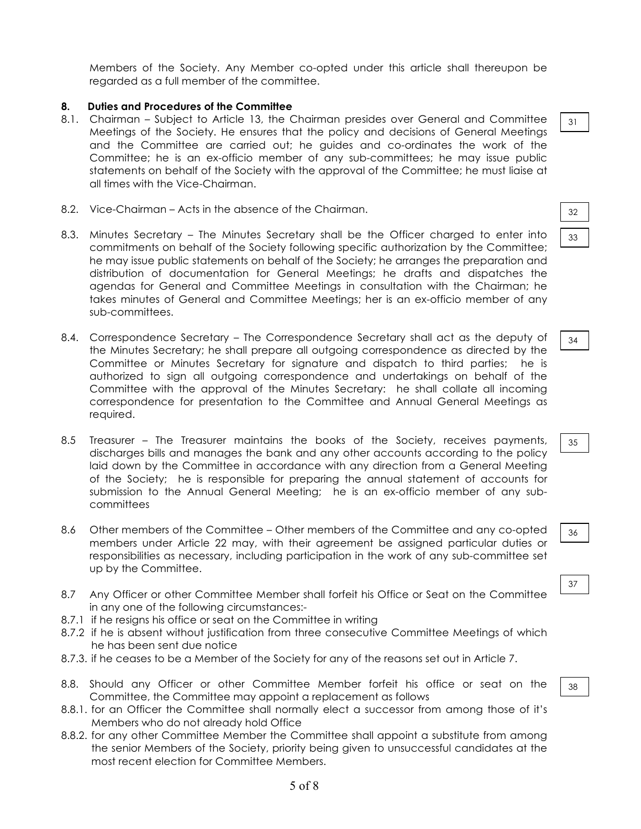Members of the Society. Any Member co-opted under this article shall thereupon be regarded as a full member of the committee.

## **8. Duties and Procedures of the Committee**

- 8.1. Chairman Subject to Article 13, the Chairman presides over General and Committee Meetings of the Society. He ensures that the policy and decisions of General Meetings and the Committee are carried out; he guides and co-ordinates the work of the Committee; he is an ex-officio member of any sub-committees; he may issue public statements on behalf of the Society with the approval of the Committee; he must liaise at all times with the Vice-Chairman.
- 8.2. Vice-Chairman Acts in the absence of the Chairman.
- 8.3. Minutes Secretary The Minutes Secretary shall be the Officer charged to enter into commitments on behalf of the Society following specific authorization by the Committee; he may issue public statements on behalf of the Society; he arranges the preparation and distribution of documentation for General Meetings; he drafts and dispatches the agendas for General and Committee Meetings in consultation with the Chairman; he takes minutes of General and Committee Meetings; her is an ex-officio member of any sub-committees.
- 8.4. Correspondence Secretary The Correspondence Secretary shall act as the deputy of the Minutes Secretary; he shall prepare all outgoing correspondence as directed by the Committee or Minutes Secretary for signature and dispatch to third parties; he is authorized to sign all outgoing correspondence and undertakings on behalf of the Committee with the approval of the Minutes Secretary: he shall collate all incoming correspondence for presentation to the Committee and Annual General Meetings as required.
- 8.5 Treasurer The Treasurer maintains the books of the Society, receives payments, discharges bills and manages the bank and any other accounts according to the policy laid down by the Committee in accordance with any direction from a General Meeting of the Society; he is responsible for preparing the annual statement of accounts for submission to the Annual General Meeting; he is an ex-officio member of any subcommittees
- 8.6 Other members of the Committee Other members of the Committee and any co-opted members under Article 22 may, with their agreement be assigned particular duties or responsibilities as necessary, including participation in the work of any sub-committee set up by the Committee.
- 8.7 Any Officer or other Committee Member shall forfeit his Office or Seat on the Committee in any one of the following circumstances:-
- 8.7.1 if he resigns his office or seat on the Committee in writing
- 8.7.2 if he is absent without justification from three consecutive Committee Meetings of which he has been sent due notice
- 8.7.3. if he ceases to be a Member of the Society for any of the reasons set out in Article 7.
- 8.8. Should any Officer or other Committee Member forfeit his office or seat on the Committee, the Committee may appoint a replacement as follows
- 8.8.1. for an Officer the Committee shall normally elect a successor from among those of it's Members who do not already hold Office
- 8.8.2. for any other Committee Member the Committee shall appoint a substitute from among the senior Members of the Society, priority being given to unsuccessful candidates at the most recent election for Committee Members.

31

| 0<br>- 1 |  |
|----------|--|
|          |  |
|          |  |

|--|

| ۰<br>I<br>I<br>×<br>۰.<br>×<br>۰.<br>w |  |
|----------------------------------------|--|
|                                        |  |

37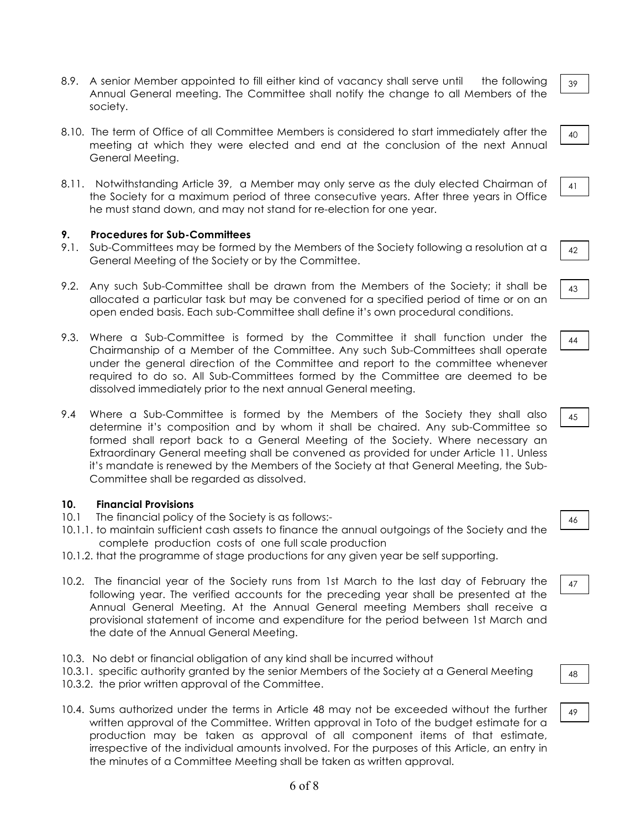- 8.9. A senior Member appointed to fill either kind of vacancy shall serve until the following Annual General meeting. The Committee shall notify the change to all Members of the society.
- 8.10. The term of Office of all Committee Members is considered to start immediately after the meeting at which they were elected and end at the conclusion of the next Annual General Meeting.
- 8.11. Notwithstanding Article 39, a Member may only serve as the duly elected Chairman of the Society for a maximum period of three consecutive years. After three years in Office he must stand down, and may not stand for re-election for one year.

## **9. Procedures for Sub-Committees**

- 9.1. Sub-Committees may be formed by the Members of the Society following a resolution at a General Meeting of the Society or by the Committee.
- 9.2. Any such Sub-Committee shall be drawn from the Members of the Society; it shall be allocated a particular task but may be convened for a specified period of time or on an open ended basis. Each sub-Committee shall define it's own procedural conditions.
- 9.3. Where a Sub-Committee is formed by the Committee it shall function under the Chairmanship of a Member of the Committee. Any such Sub-Committees shall operate under the general direction of the Committee and report to the committee whenever required to do so. All Sub-Committees formed by the Committee are deemed to be dissolved immediately prior to the next annual General meeting.
- 9.4 Where a Sub-Committee is formed by the Members of the Society they shall also determine it's composition and by whom it shall be chaired. Any sub-Committee so formed shall report back to a General Meeting of the Society. Where necessary an Extraordinary General meeting shall be convened as provided for under Article 11. Unless it's mandate is renewed by the Members of the Society at that General Meeting, the Sub-Committee shall be regarded as dissolved.

#### **10. Financial Provisions**

- 10.1 The financial policy of the Society is as follows:-
- 10.1.1. to maintain sufficient cash assets to finance the annual outgoings of the Society and the complete production costs of one full scale production
- 10.1.2. that the programme of stage productions for any given year be self supporting.
- 10.2. The financial year of the Society runs from 1st March to the last day of February the following year. The verified accounts for the preceding year shall be presented at the Annual General Meeting. At the Annual General meeting Members shall receive a provisional statement of income and expenditure for the period between 1st March and the date of the Annual General Meeting.
- 10.3. No debt or financial obligation of any kind shall be incurred without
- 10.3.1. specific authority granted by the senior Members of the Society at a General Meeting
- 10.3.2. the prior written approval of the Committee.
- 10.4. Sums authorized under the terms in Article 48 may not be exceeded without the further written approval of the Committee. Written approval in Toto of the budget estimate for a production may be taken as approval of all component items of that estimate, irrespective of the individual amounts involved. For the purposes of this Article, an entry in the minutes of a Committee Meeting shall be taken as written approval.

39

40

|--|

43

44

45

47 7

48

49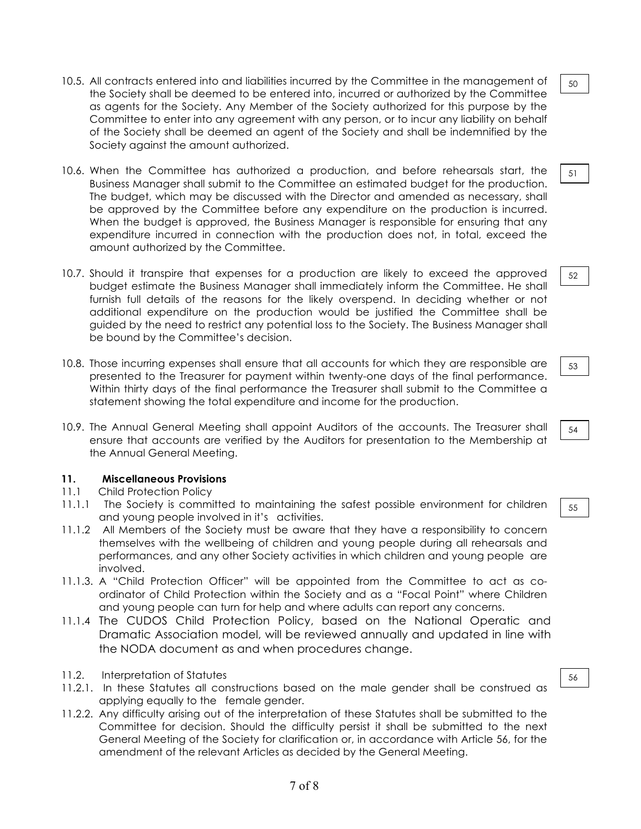- 10.5. All contracts entered into and liabilities incurred by the Committee in the management of the Society shall be deemed to be entered into, incurred or authorized by the Committee as agents for the Society. Any Member of the Society authorized for this purpose by the Committee to enter into any agreement with any person, or to incur any liability on behalf of the Society shall be deemed an agent of the Society and shall be indemnified by the Society against the amount authorized.
- 10.6. When the Committee has authorized a production, and before rehearsals start, the Business Manager shall submit to the Committee an estimated budget for the production. The budget, which may be discussed with the Director and amended as necessary, shall be approved by the Committee before any expenditure on the production is incurred. When the budget is approved, the Business Manager is responsible for ensuring that any expenditure incurred in connection with the production does not, in total, exceed the amount authorized by the Committee.
- 10.7. Should it transpire that expenses for a production are likely to exceed the approved budget estimate the Business Manager shall immediately inform the Committee. He shall furnish full details of the reasons for the likely overspend. In deciding whether or not additional expenditure on the production would be justified the Committee shall be guided by the need to restrict any potential loss to the Society. The Business Manager shall be bound by the Committee's decision.
- 10.8. Those incurring expenses shall ensure that all accounts for which they are responsible are presented to the Treasurer for payment within twenty-one days of the final performance. Within thirty days of the final performance the Treasurer shall submit to the Committee a statement showing the total expenditure and income for the production.
- 10.9. The Annual General Meeting shall appoint Auditors of the accounts. The Treasurer shall ensure that accounts are verified by the Auditors for presentation to the Membership at the Annual General Meeting.

## **11. Miscellaneous Provisions**

- 11.1 Child Protection Policy
- 11.1.1 The Society is committed to maintaining the safest possible environment for children and young people involved in it's activities.
- 11.1.2 All Members of the Society must be aware that they have a responsibility to concern themselves with the wellbeing of children and young people during all rehearsals and performances, and any other Society activities in which children and young people are involved.
- 11.1.3. A "Child Protection Officer" will be appointed from the Committee to act as coordinator of Child Protection within the Society and as a "Focal Point" where Children and young people can turn for help and where adults can report any concerns.
- 11.1.4 The CUDOS Child Protection Policy, based on the National Operatic and Dramatic Association model, will be reviewed annually and updated in line with the NODA document as and when procedures change.
- 11.2. Interpretation of Statutes
- 11.2.1. In these Statutes all constructions based on the male gender shall be construed as applying equally to the female gender.
- 11.2.2. Any difficulty arising out of the interpretation of these Statutes shall be submitted to the Committee for decision. Should the difficulty persist it shall be submitted to the next General Meeting of the Society for clarification or, in accordance with Article 56, for the amendment of the relevant Articles as decided by the General Meeting.

51

50

52

53

54

55